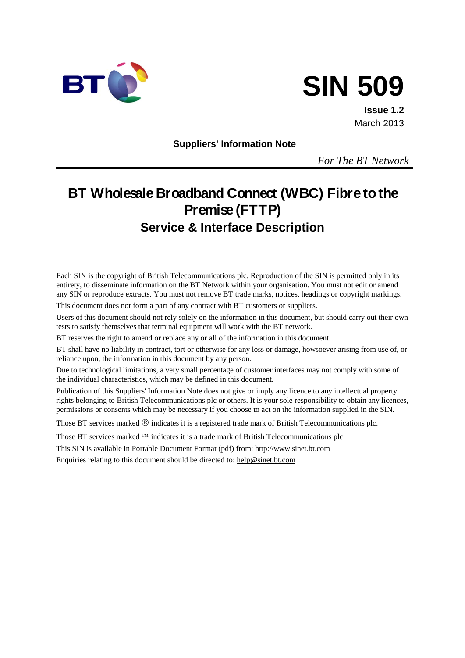



**Issue 1.2** March 2013

**Suppliers' Information Note**

*For The BT Network*

# **BT Wholesale Broadband Connect (WBC) Fibre to the Premise (FTTP) Service & Interface Description**

Each SIN is the copyright of British Telecommunications plc. Reproduction of the SIN is permitted only in its entirety, to disseminate information on the BT Network within your organisation. You must not edit or amend any SIN or reproduce extracts. You must not remove BT trade marks, notices, headings or copyright markings.

This document does not form a part of any contract with BT customers or suppliers.

Users of this document should not rely solely on the information in this document, but should carry out their own tests to satisfy themselves that terminal equipment will work with the BT network.

BT reserves the right to amend or replace any or all of the information in this document.

BT shall have no liability in contract, tort or otherwise for any loss or damage, howsoever arising from use of, or reliance upon, the information in this document by any person.

Due to technological limitations, a very small percentage of customer interfaces may not comply with some of the individual characteristics, which may be defined in this document.

Publication of this Suppliers' Information Note does not give or imply any licence to any intellectual property rights belonging to British Telecommunications plc or others. It is your sole responsibility to obtain any licences, permissions or consents which may be necessary if you choose to act on the information supplied in the SIN.

Those BT services marked  $\mathcal{R}$  indicates it is a registered trade mark of British Telecommunications plc.

Those BT services marked  $TM$  indicates it is a trade mark of British Telecommunications plc.

This SIN is available in Portable Document Format (pdf) from[: http://www.sinet.bt.com](http://www.sinet.bt.com/) 

Enquiries relating to this document should be directed to: [help@sinet.bt.com](mailto:help@sinet.bt.com)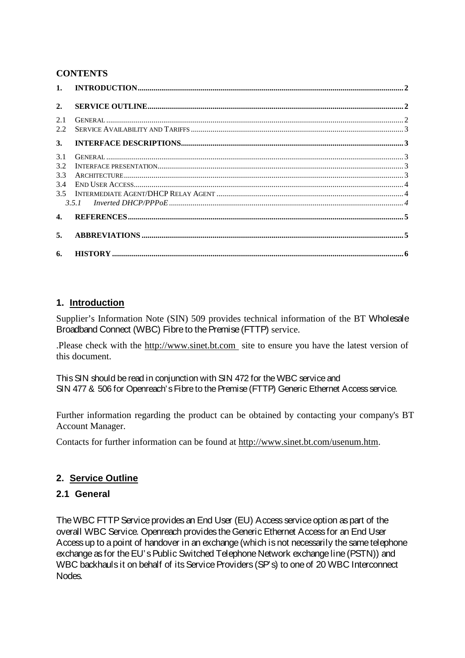## **CONTENTS**

| 2.           |                                                                                                                                                                                                                                                                                                                                                                                                                                                                               |  |
|--------------|-------------------------------------------------------------------------------------------------------------------------------------------------------------------------------------------------------------------------------------------------------------------------------------------------------------------------------------------------------------------------------------------------------------------------------------------------------------------------------|--|
| 2.1<br>2.2.  |                                                                                                                                                                                                                                                                                                                                                                                                                                                                               |  |
| 3.           |                                                                                                                                                                                                                                                                                                                                                                                                                                                                               |  |
| 3.1          |                                                                                                                                                                                                                                                                                                                                                                                                                                                                               |  |
| 3.2          | $\textbf{INTERFACE PRESENTATION} \textcolor{red}{\textbf{INTERFACE} } \textbf{PRESENTATION} \textcolor{red}{\textbf{133} \textbf{248} } \textcolor{red}{\textbf{254} \textbf{38} } \textcolor{red}{\textbf{38} \textbf{48} } \textcolor{red}{\textbf{49} \textbf{58} } \textcolor{red}{\textbf{58} \textbf{58} } \textcolor{red}{\textbf{58} \textbf{58} } \textcolor{red}{\textbf{58} \textbf{58} } \textcolor{red}{\textbf{58} \textbf{58} } \textcolor{red}{\textbf{58} \$ |  |
| 3.3          |                                                                                                                                                                                                                                                                                                                                                                                                                                                                               |  |
| 3.4          |                                                                                                                                                                                                                                                                                                                                                                                                                                                                               |  |
|              |                                                                                                                                                                                                                                                                                                                                                                                                                                                                               |  |
|              |                                                                                                                                                                                                                                                                                                                                                                                                                                                                               |  |
| $\mathbf{4}$ |                                                                                                                                                                                                                                                                                                                                                                                                                                                                               |  |
| 5.           |                                                                                                                                                                                                                                                                                                                                                                                                                                                                               |  |
| 6.           |                                                                                                                                                                                                                                                                                                                                                                                                                                                                               |  |

# **1. Introduction**

Supplier's Information Note (SIN) 509 provides technical information of the BT Wholesale Broadband Connect (WBC) Fibre to the Premise (FTTP) service.

.Please check with the [http://www.sinet.bt.com](http://www.sinet.bt.com/index.htm) site to ensure you have the latest version of this document.

This SIN should be read in conjunction with SIN 472 for the WBC service and SIN 477 & 506 for Openreach's Fibre to the Premise (FTTP) Generic Ethernet Access service.

Further information regarding the product can be obtained by contacting your company's BT Account Manager.

Contacts for further information can be found at [http://www.sinet.bt.com/usenum.htm.](http://www.sinet.bt.com/usenum.htm)

# **2. Service Outline**

# **2.1 General**

The WBC FTTP Service provides an End User (EU) Access service option as part of the overall WBC Service. Openreach provides the Generic Ethernet Access for an End User Access up to a point of handover in an exchange (which is not necessarily the same telephone exchange as for the EU's Public Switched Telephone Network exchange line(PSTN)) and WBC backhauls it on behalf of its Service Providers (SP's) to one of 20 WBC Interconnect Nodes.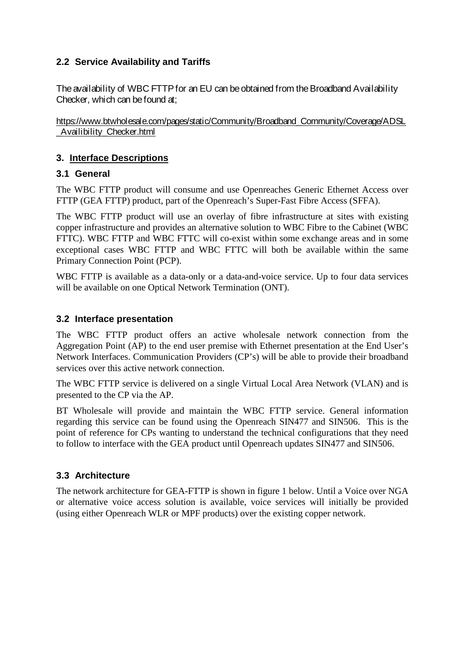# **2.2 Service Availability and Tariffs**

The availability of WBC FTTPfor an EU can be obtained from the Broadband Availability Checker, which can be found at;

[https://www.btwholesale.com/pages/static/Community/Broadband\\_Community/Coverage/ADSL](https://www.btwholesale.com/pages/static/Community/Broadband_Community/Coverage/ADSL_Availibility_Checker.html) [\\_Availibility\\_Checker.html](https://www.btwholesale.com/pages/static/Community/Broadband_Community/Coverage/ADSL_Availibility_Checker.html)

# **3. Interface Descriptions**

## **3.1 General**

The WBC FTTP product will consume and use Openreaches Generic Ethernet Access over FTTP (GEA FTTP) product, part of the Openreach's Super-Fast Fibre Access (SFFA).

The WBC FTTP product will use an overlay of fibre infrastructure at sites with existing copper infrastructure and provides an alternative solution to WBC Fibre to the Cabinet (WBC FTTC). WBC FTTP and WBC FTTC will co-exist within some exchange areas and in some exceptional cases WBC FTTP and WBC FTTC will both be available within the same Primary Connection Point (PCP).

WBC FTTP is available as a data-only or a data-and-voice service. Up to four data services will be available on one Optical Network Termination (ONT).

## **3.2 Interface presentation**

The WBC FTTP product offers an active wholesale network connection from the Aggregation Point (AP) to the end user premise with Ethernet presentation at the End User's Network Interfaces. Communication Providers (CP's) will be able to provide their broadband services over this active network connection.

The WBC FTTP service is delivered on a single Virtual Local Area Network (VLAN) and is presented to the CP via the AP.

BT Wholesale will provide and maintain the WBC FTTP service. General information regarding this service can be found using the Openreach SIN477 and SIN506. This is the point of reference for CPs wanting to understand the technical configurations that they need to follow to interface with the GEA product until Openreach updates SIN477 and SIN506.

# **3.3 Architecture**

The network architecture for GEA-FTTP is shown in figure 1 below. Until a Voice over NGA or alternative voice access solution is available, voice services will initially be provided (using either Openreach WLR or MPF products) over the existing copper network.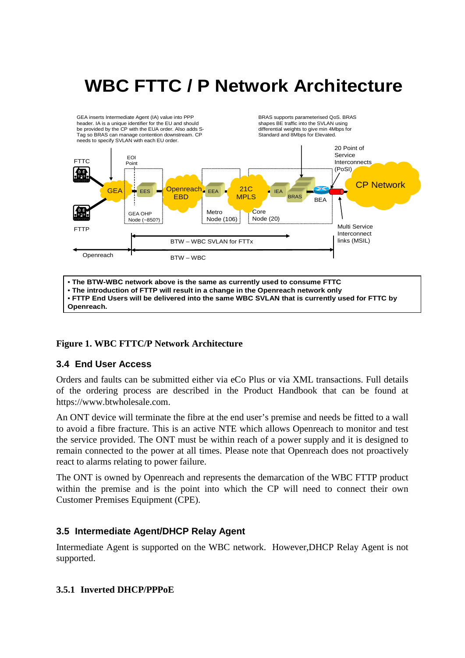# **WBC FTTC / P Network Architecture**

GEA inserts Intermediate Agent (IA) value into PPP header. IA is a unique identifier for the EU and should BRAS supports parameterised QoS. BRAS shapes BE traffic into the SVLAN using be provided by the CP with the EUA order. Also adds Sdifferential weights to give min 4Mbps for Tag so BRAS can manage contention downstream. CP Standard and 8Mbps for Elevated. needs to specify SVLAN with each EU order. 20 Point of Service EOI FTTC Interconnects Point (PoSI) .⊞ 21C **Designation CP Network** BRAS GEA EES **Copenreach** EEA  $\blacksquare$ IEA BRAS BRAS MPLS **FBD BEA** Metro **Core** GEA OHP Node (~850?) Node (20) Node (106) Multi Service FTTP Interconnect links (MSIL) BTW – WBC SVLAN for FTTx Openreach  $I^*$  BTW – WBC

• **The BTW-WBC network above is the same as currently used to consume FTTC** • **The introduction of FTTP will result in a change in the Openreach network only** • **FTTP End Users will be delivered into the same WBC SVLAN that is currently used for FTTC by Openreach.**

### **Figure 1. WBC FTTC/P Network Architecture**

### **3.4 End User Access**

Orders and faults can be submitted either via eCo Plus or via XML transactions. Full details of the ordering process are described in the Product Handbook that can be found at https://www.btwholesale.com.

An ONT device will terminate the fibre at the end user's premise and needs be fitted to a wall to avoid a fibre fracture. This is an active NTE which allows Openreach to monitor and test the service provided. The ONT must be within reach of a power supply and it is designed to remain connected to the power at all times. Please note that Openreach does not proactively react to alarms relating to power failure.

The ONT is owned by Openreach and represents the demarcation of the WBC FTTP product within the premise and is the point into which the CP will need to connect their own Customer Premises Equipment (CPE).

### **3.5 Intermediate Agent/DHCP Relay Agent**

Intermediate Agent is supported on the WBC network. However,DHCP Relay Agent is not supported.

### **3.5.1 Inverted DHCP/PPPoE**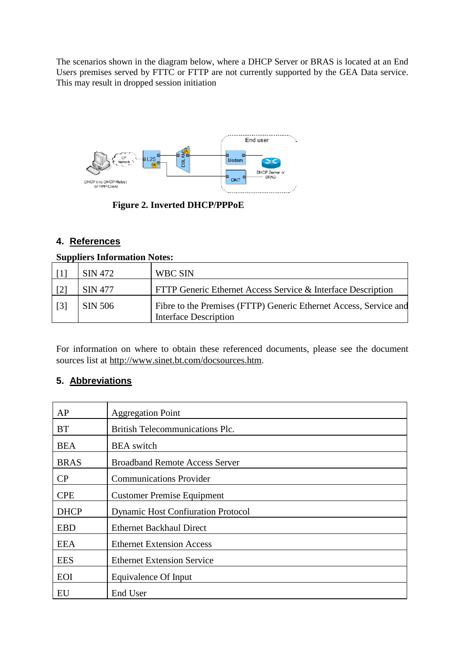The scenarios shown in the diagram below, where a DHCP Server or BRAS is located at an End Users premises served by FTTC or FTTP are not currently supported by the GEA Data service. This may result in dropped session initiation



**Figure 2. Inverted DHCP/PPPoE**

# **4. References**

### **Suppliers Information Notes:**

|                   | SIN 472        | WBC SIN                                                                                           |
|-------------------|----------------|---------------------------------------------------------------------------------------------------|
| $\lceil 2 \rceil$ | <b>SIN 477</b> | FTTP Generic Ethernet Access Service & Interface Description                                      |
| $\lceil 3 \rceil$ | SIN 506        | Fibre to the Premises (FTTP) Generic Ethernet Access, Service and<br><b>Interface Description</b> |

For information on where to obtain these referenced documents, please see the document sources list at [http://www.sinet.bt.com/docsources.htm.](http://www.sinet.bt.com/docsources.htm)

# **5. Abbreviations**

| AP          | <b>Aggregation Point</b>                  |
|-------------|-------------------------------------------|
| <b>BT</b>   | <b>British Telecommunications Plc.</b>    |
| <b>BEA</b>  | <b>BEA</b> switch                         |
| <b>BRAS</b> | <b>Broadband Remote Access Server</b>     |
| CP          | <b>Communications Provider</b>            |
| <b>CPE</b>  | <b>Customer Premise Equipment</b>         |
| <b>DHCP</b> | <b>Dynamic Host Confiuration Protocol</b> |
| <b>EBD</b>  | <b>Ethernet Backhaul Direct</b>           |
| <b>EEA</b>  | <b>Ethernet Extension Access</b>          |
| <b>EES</b>  | <b>Ethernet Extension Service</b>         |
| <b>EOI</b>  | Equivalence Of Input                      |
| EU          | End User                                  |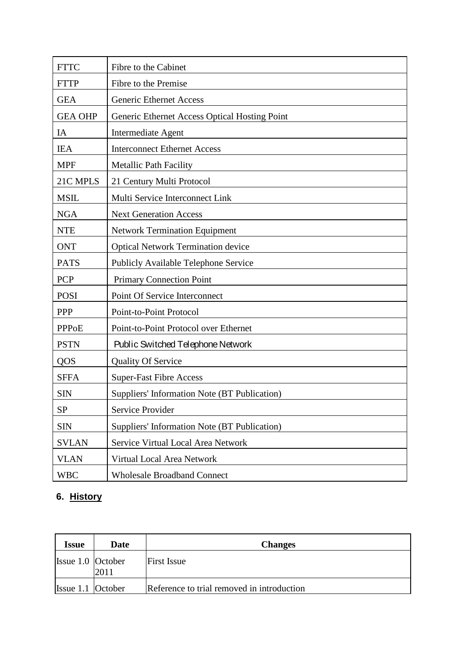| <b>FTTC</b>    | Fibre to the Cabinet                          |  |  |
|----------------|-----------------------------------------------|--|--|
| <b>FTTP</b>    | Fibre to the Premise                          |  |  |
| <b>GEA</b>     | <b>Generic Ethernet Access</b>                |  |  |
| <b>GEA OHP</b> | Generic Ethernet Access Optical Hosting Point |  |  |
| IA             | <b>Intermediate Agent</b>                     |  |  |
| <b>IEA</b>     | <b>Interconnect Ethernet Access</b>           |  |  |
| <b>MPF</b>     | <b>Metallic Path Facility</b>                 |  |  |
| 21C MPLS       | 21 Century Multi Protocol                     |  |  |
| <b>MSIL</b>    | Multi Service Interconnect Link               |  |  |
| <b>NGA</b>     | <b>Next Generation Access</b>                 |  |  |
| <b>NTE</b>     | <b>Network Termination Equipment</b>          |  |  |
| <b>ONT</b>     | <b>Optical Network Termination device</b>     |  |  |
| <b>PATS</b>    | <b>Publicly Available Telephone Service</b>   |  |  |
| PCP            | <b>Primary Connection Point</b>               |  |  |
| <b>POSI</b>    | Point Of Service Interconnect                 |  |  |
| <b>PPP</b>     | Point-to-Point Protocol                       |  |  |
| <b>PPPoE</b>   | Point-to-Point Protocol over Ethernet         |  |  |
| <b>PSTN</b>    | Public Switched Telephone Network             |  |  |
| QOS            | <b>Quality Of Service</b>                     |  |  |
| <b>SFFA</b>    | <b>Super-Fast Fibre Access</b>                |  |  |
| <b>SIN</b>     | Suppliers' Information Note (BT Publication)  |  |  |
| SP             | Service Provider                              |  |  |
| <b>SIN</b>     | Suppliers' Information Note (BT Publication)  |  |  |
| <b>SVLAN</b>   | Service Virtual Local Area Network            |  |  |
| <b>VLAN</b>    | Virtual Local Area Network                    |  |  |
| <b>WBC</b>     | <b>Wholesale Broadband Connect</b>            |  |  |

# **6. History**

| <b>Issue</b>        | Date | <b>Changes</b>                             |
|---------------------|------|--------------------------------------------|
| Issue 1.0 October   | 2011 | <b>First Issue</b>                         |
| Issue $1.1$ October |      | Reference to trial removed in introduction |